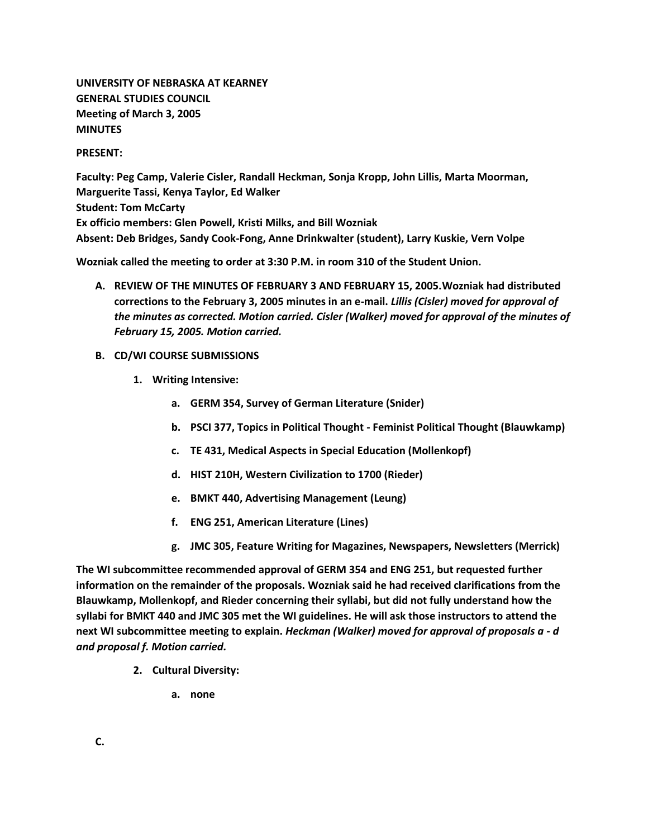**UNIVERSITY OF NEBRASKA AT KEARNEY GENERAL STUDIES COUNCIL Meeting of March 3, 2005 MINUTES**

### **PRESENT:**

**Faculty: Peg Camp, Valerie Cisler, Randall Heckman, Sonja Kropp, John Lillis, Marta Moorman, Marguerite Tassi, Kenya Taylor, Ed Walker Student: Tom McCarty Ex officio members: Glen Powell, Kristi Milks, and Bill Wozniak Absent: Deb Bridges, Sandy Cook-Fong, Anne Drinkwalter (student), Larry Kuskie, Vern Volpe**

**Wozniak called the meeting to order at 3:30 P.M. in room 310 of the Student Union.**

- **A. REVIEW OF THE MINUTES OF FEBRUARY 3 AND FEBRUARY 15, 2005.Wozniak had distributed corrections to the February 3, 2005 minutes in an e-mail.** *Lillis (Cisler) moved for approval of the minutes as corrected. Motion carried. Cisler (Walker) moved for approval of the minutes of February 15, 2005. Motion carried.*
- **B. CD/WI COURSE SUBMISSIONS**
	- **1. Writing Intensive:** 
		- **a. GERM 354, Survey of German Literature (Snider)**
		- **b. PSCI 377, Topics in Political Thought - Feminist Political Thought (Blauwkamp)**
		- **c. TE 431, Medical Aspects in Special Education (Mollenkopf)**
		- **d. HIST 210H, Western Civilization to 1700 (Rieder)**
		- **e. BMKT 440, Advertising Management (Leung)**
		- **f. ENG 251, American Literature (Lines)**
		- **g. JMC 305, Feature Writing for Magazines, Newspapers, Newsletters (Merrick)**

**The WI subcommittee recommended approval of GERM 354 and ENG 251, but requested further information on the remainder of the proposals. Wozniak said he had received clarifications from the Blauwkamp, Mollenkopf, and Rieder concerning their syllabi, but did not fully understand how the syllabi for BMKT 440 and JMC 305 met the WI guidelines. He will ask those instructors to attend the next WI subcommittee meeting to explain.** *Heckman (Walker) moved for approval of proposals a - d and proposal f. Motion carried.*

- **2. Cultural Diversity:** 
	- **a. none**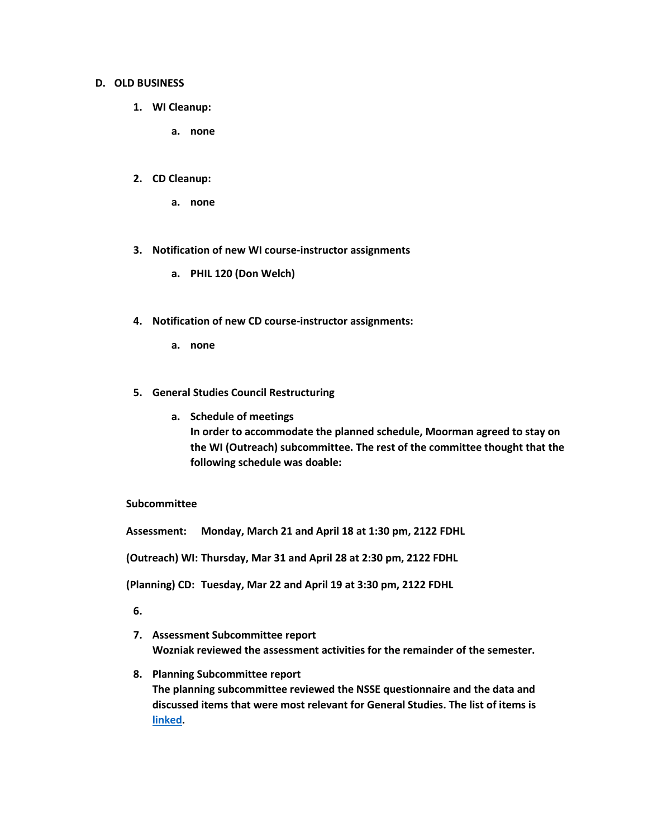### **D. OLD BUSINESS**

- **1. WI Cleanup:** 
	- **a. none**
- **2. CD Cleanup:** 
	- **a. none**
- **3. Notification of new WI course-instructor assignments** 
	- **a. PHIL 120 (Don Welch)**
- **4. Notification of new CD course-instructor assignments:** 
	- **a. none**
- **5. General Studies Council Restructuring** 
	- **a. Schedule of meetings In order to accommodate the planned schedule, Moorman agreed to stay on the WI (Outreach) subcommittee. The rest of the committee thought that the following schedule was doable:**

## **Subcommittee**

**Assessment: Monday, March 21 and April 18 at 1:30 pm, 2122 FDHL**

**(Outreach) WI: Thursday, Mar 31 and April 28 at 2:30 pm, 2122 FDHL**

**(Planning) CD: Tuesday, Mar 22 and April 19 at 3:30 pm, 2122 FDHL**

**6.**

- **7. Assessment Subcommittee report Wozniak reviewed the assessment activities for the remainder of the semester.**
- **8. Planning Subcommittee report The planning subcommittee reviewed the NSSE questionnaire and the data and discussed items that were most relevant for General Studies. The list of items is [linked.](http://www.unk.edu/academicaffairs/generalstudies/index.php?id=3793)**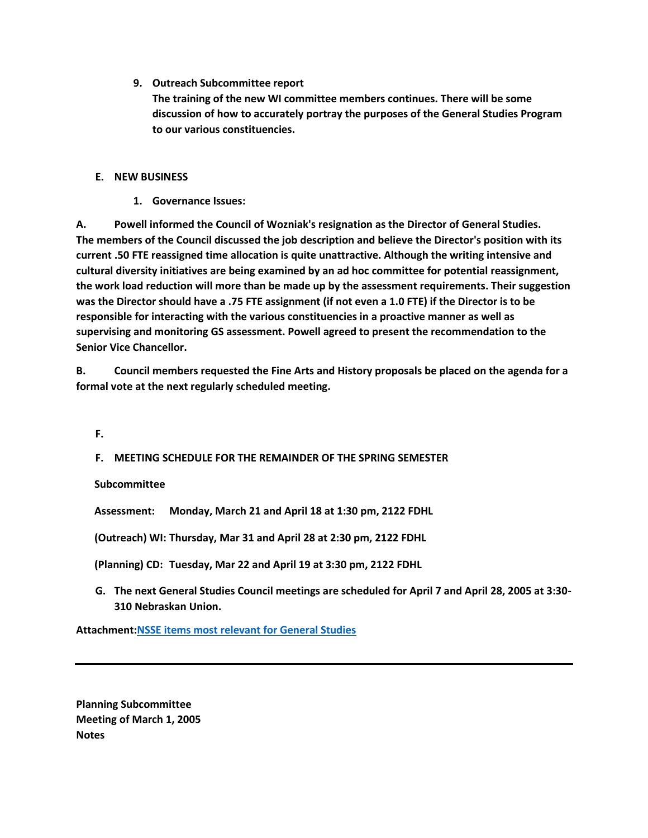**9. Outreach Subcommittee report**

**The training of the new WI committee members continues. There will be some discussion of how to accurately portray the purposes of the General Studies Program to our various constituencies.**

# **E. NEW BUSINESS**

**1. Governance Issues:** 

**A. Powell informed the Council of Wozniak's resignation as the Director of General Studies. The members of the Council discussed the job description and believe the Director's position with its current .50 FTE reassigned time allocation is quite unattractive. Although the writing intensive and cultural diversity initiatives are being examined by an ad hoc committee for potential reassignment, the work load reduction will more than be made up by the assessment requirements. Their suggestion was the Director should have a .75 FTE assignment (if not even a 1.0 FTE) if the Director is to be responsible for interacting with the various constituencies in a proactive manner as well as supervising and monitoring GS assessment. Powell agreed to present the recommendation to the Senior Vice Chancellor.**

**B. Council members requested the Fine Arts and History proposals be placed on the agenda for a formal vote at the next regularly scheduled meeting.**

**F.**

**F. MEETING SCHEDULE FOR THE REMAINDER OF THE SPRING SEMESTER** 

**Subcommittee**

**Assessment: Monday, March 21 and April 18 at 1:30 pm, 2122 FDHL**

**(Outreach) WI: Thursday, Mar 31 and April 28 at 2:30 pm, 2122 FDHL**

**(Planning) CD: Tuesday, Mar 22 and April 19 at 3:30 pm, 2122 FDHL**

**G. The next General Studies Council meetings are scheduled for April 7 and April 28, 2005 at 3:30- 310 Nebraskan Union.**

**Attachment[:NSSE items most relevant for General Studies](http://www.unk.edu/academicaffairs/generalstudies/index.php?id=3793)**

**Planning Subcommittee Meeting of March 1, 2005 Notes**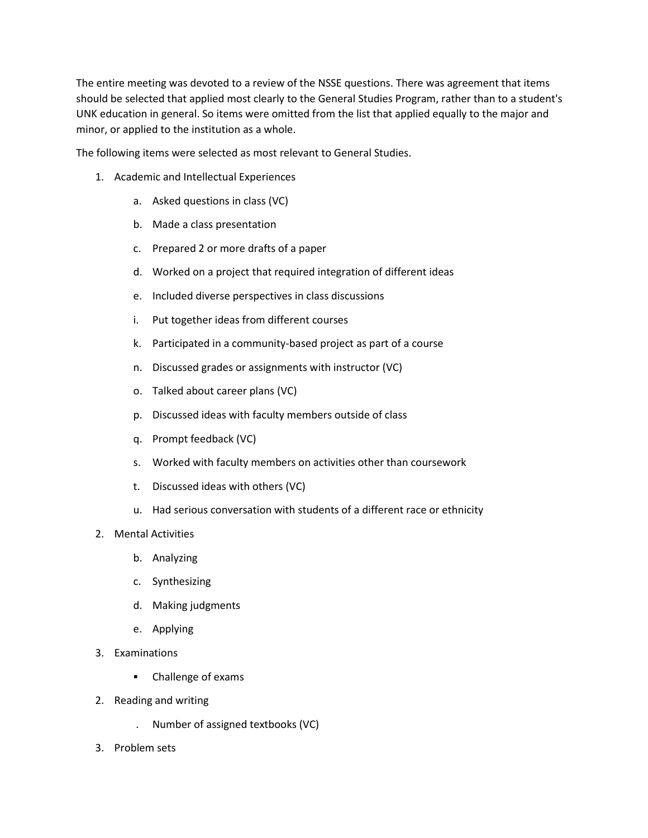The entire meeting was devoted to a review of the NSSE questions. There was agreement that items should be selected that applied most clearly to the General Studies Program, rather than to a student's UNK education in general. So items were omitted from the list that applied equally to the major and minor, or applied to the institution as a whole.

The following items were selected as most relevant to General Studies.

- 1. Academic and Intellectual Experiences
	- a. Asked questions in class (VC)
	- b. Made a class presentation
	- c. Prepared 2 or more drafts of a paper
	- d. Worked on a project that required integration of different ideas
	- e. Included diverse perspectives in class discussions
	- i. Put together ideas from different courses
	- k. Participated in a community-based project as part of a course
	- n. Discussed grades or assignments with instructor (VC)
	- o. Talked about career plans (VC)
	- p. Discussed ideas with faculty members outside of class
	- q. Prompt feedback (VC)
	- s. Worked with faculty members on activities other than coursework
	- t. Discussed ideas with others (VC)
	- u. Had serious conversation with students of a different race or ethnicity
- 2. Mental Activities
	- b. Analyzing
	- c. Synthesizing
	- d. Making judgments
	- e. Applying
- 3. Examinations
	- Challenge of exams
- 2. Reading and writing
	- . Number of assigned textbooks (VC)
- 3. Problem sets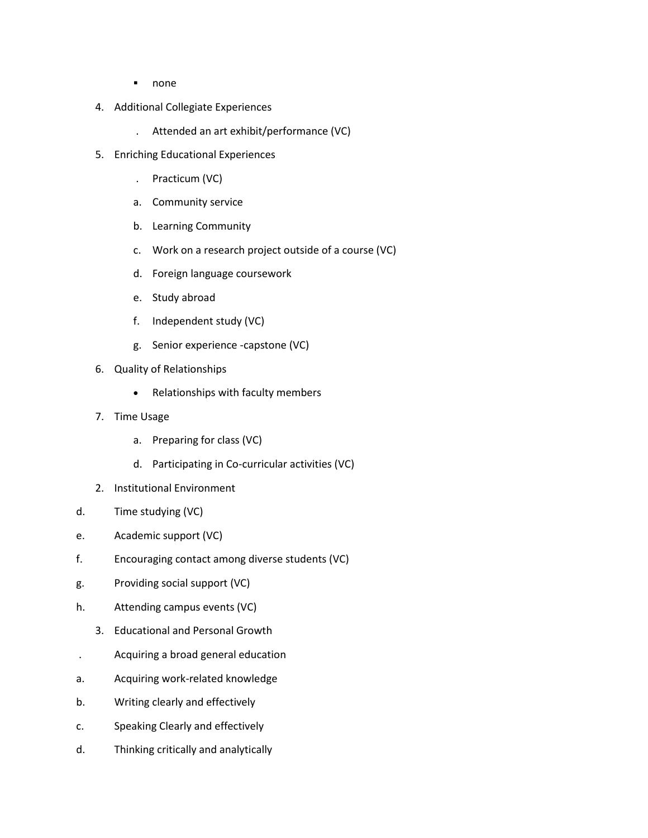- none
- 4. Additional Collegiate Experiences
	- . Attended an art exhibit/performance (VC)
- 5. Enriching Educational Experiences
	- . Practicum (VC)
	- a. Community service
	- b. Learning Community
	- c. Work on a research project outside of a course (VC)
	- d. Foreign language coursework
	- e. Study abroad
	- f. Independent study (VC)
	- g. Senior experience -capstone (VC)
- 6. Quality of Relationships
	- Relationships with faculty members
- 7. Time Usage
	- a. Preparing for class (VC)
	- d. Participating in Co-curricular activities (VC)
- 2. Institutional Environment
- d. Time studying (VC)
- e. Academic support (VC)
- f. Encouraging contact among diverse students (VC)
- g. Providing social support (VC)
- h. Attending campus events (VC)
	- 3. Educational and Personal Growth
- . Acquiring a broad general education
- a. Acquiring work-related knowledge
- b. Writing clearly and effectively
- c. Speaking Clearly and effectively
- d. Thinking critically and analytically